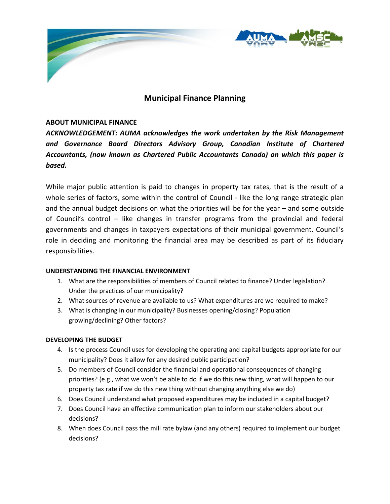

# **Municipal Finance Planning**

# **ABOUT MUNICIPAL FINANCE**

*ACKNOWLEDGEMENT: AUMA acknowledges the work undertaken by the Risk Management and Governance Board Directors Advisory Group, Canadian Institute of Chartered Accountants, (now known as Chartered Public Accountants Canada) on which this paper is based.*

While major public attention is paid to changes in property tax rates, that is the result of a whole series of factors, some within the control of Council - like the long range strategic plan and the annual budget decisions on what the priorities will be for the year – and some outside of Council's control – like changes in transfer programs from the provincial and federal governments and changes in taxpayers expectations of their municipal government. Council's role in deciding and monitoring the financial area may be described as part of its fiduciary responsibilities.

## **UNDERSTANDING THE FINANCIAL ENVIRONMENT**

- 1. What are the responsibilities of members of Council related to finance? Under legislation? Under the practices of our municipality?
- 2. What sources of revenue are available to us? What expenditures are we required to make?
- 3. What is changing in our municipality? Businesses opening/closing? Population growing/declining? Other factors?

## **DEVELOPING THE BUDGET**

- 4. Is the process Council uses for developing the operating and capital budgets appropriate for our municipality? Does it allow for any desired public participation?
- 5. Do members of Council consider the financial and operational consequences of changing priorities? (e.g., what we won't be able to do if we do this new thing, what will happen to our property tax rate if we do this new thing without changing anything else we do)
- 6. Does Council understand what proposed expenditures may be included in a capital budget?
- 7. Does Council have an effective communication plan to inform our stakeholders about our decisions?
- 8. When does Council pass the mill rate bylaw (and any others) required to implement our budget decisions?